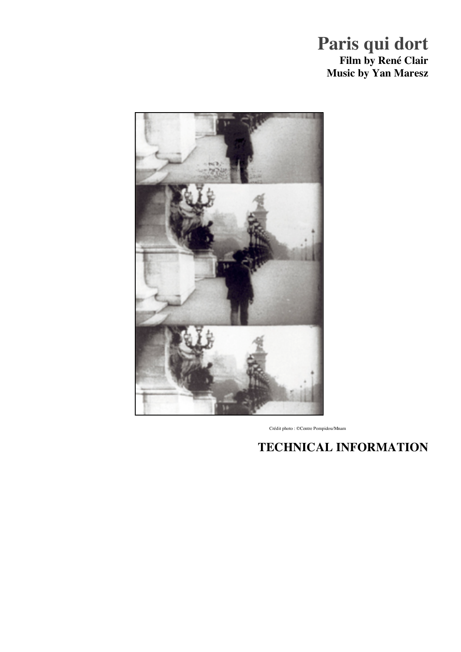# **Paris qui dort Film by René Clair Music by Yan Maresz**



Crédit photo : ©Centre Pompidou/Mnam

# **TECHNICAL INFORMATION**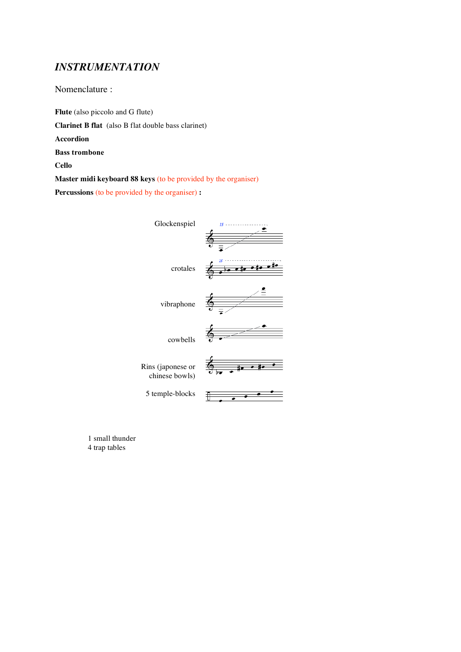### *INSTRUMENTATION*

Nomenclature :

**Flute** (also piccolo and G flute)

**Clarinet B flat** (also B flat double bass clarinet)

**Accordion**

**Bass trombone**

**Cello**

**Master midi keyboard 88 keys** (to be provided by the organiser)

**Percussions** (to be provided by the organiser) **:**



1 small thunder 4 trap tables